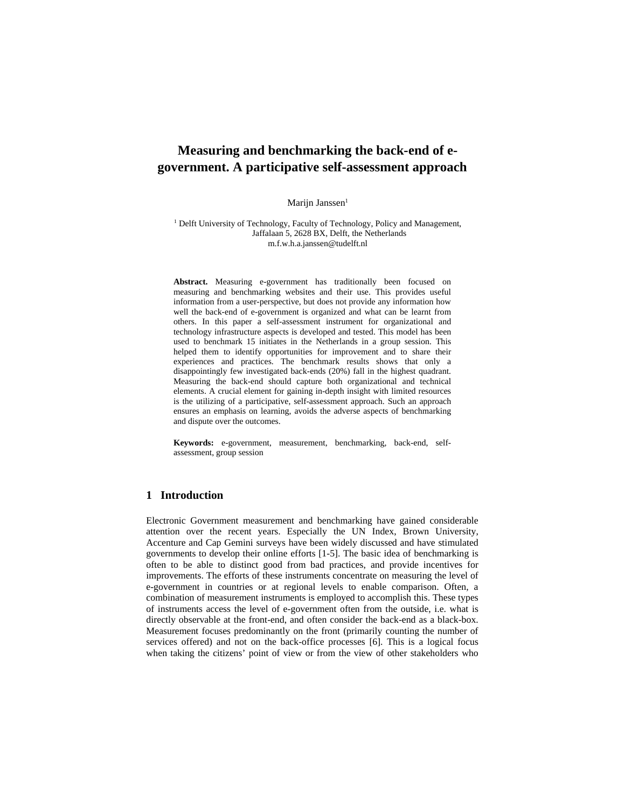# **Measuring and benchmarking the back-end of egovernment. A participative self-assessment approach**

Marijn Janssen<sup>1</sup>

<sup>1</sup> Delft University of Technology, Faculty of Technology, Policy and Management, Jaffalaan 5, 2628 BX, Delft, the Netherlands m.f.w.h.a.janssen@tudelft.nl

**Abstract.** Measuring e-government has traditionally been focused on measuring and benchmarking websites and their use. This provides useful information from a user-perspective, but does not provide any information how well the back-end of e-government is organized and what can be learnt from others. In this paper a self-assessment instrument for organizational and technology infrastructure aspects is developed and tested. This model has been used to benchmark 15 initiates in the Netherlands in a group session. This helped them to identify opportunities for improvement and to share their experiences and practices. The benchmark results shows that only a disappointingly few investigated back-ends (20%) fall in the highest quadrant. Measuring the back-end should capture both organizational and technical elements. A crucial element for gaining in-depth insight with limited resources is the utilizing of a participative, self-assessment approach. Such an approach ensures an emphasis on learning, avoids the adverse aspects of benchmarking and dispute over the outcomes.

**Keywords:** e-government, measurement, benchmarking, back-end, selfassessment, group session

#### **1 Introduction**

Electronic Government measurement and benchmarking have gained considerable attention over the recent years. Especially the UN Index, Brown University, Accenture and Cap Gemini surveys have been widely discussed and have stimulated governments to develop their online efforts [1-5]. The basic idea of benchmarking is often to be able to distinct good from bad practices, and provide incentives for improvements. The efforts of these instruments concentrate on measuring the level of e-government in countries or at regional levels to enable comparison. Often, a combination of measurement instruments is employed to accomplish this. These types of instruments access the level of e-government often from the outside, i.e. what is directly observable at the front-end, and often consider the back-end as a black-box. Measurement focuses predominantly on the front (primarily counting the number of services offered) and not on the back-office processes [6]. This is a logical focus when taking the citizens' point of view or from the view of other stakeholders who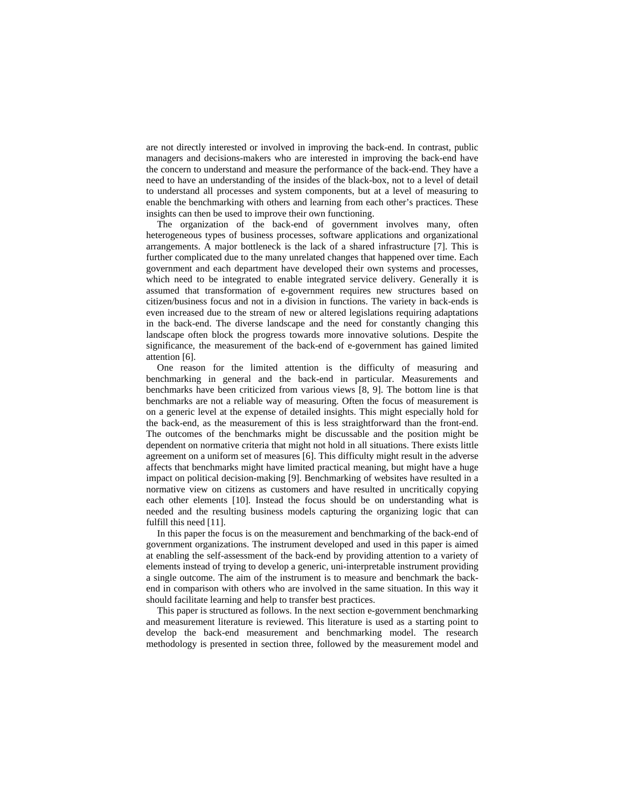are not directly interested or involved in improving the back-end. In contrast, public managers and decisions-makers who are interested in improving the back-end have the concern to understand and measure the performance of the back-end. They have a need to have an understanding of the insides of the black-box, not to a level of detail to understand all processes and system components, but at a level of measuring to enable the benchmarking with others and learning from each other's practices. These insights can then be used to improve their own functioning.

The organization of the back-end of government involves many, often heterogeneous types of business processes, software applications and organizational arrangements. A major bottleneck is the lack of a shared infrastructure [7]. This is further complicated due to the many unrelated changes that happened over time. Each government and each department have developed their own systems and processes, which need to be integrated to enable integrated service delivery. Generally it is assumed that transformation of e-government requires new structures based on citizen/business focus and not in a division in functions. The variety in back-ends is even increased due to the stream of new or altered legislations requiring adaptations in the back-end. The diverse landscape and the need for constantly changing this landscape often block the progress towards more innovative solutions. Despite the significance, the measurement of the back-end of e-government has gained limited attention [6].

One reason for the limited attention is the difficulty of measuring and benchmarking in general and the back-end in particular. Measurements and benchmarks have been criticized from various views [8, 9]. The bottom line is that benchmarks are not a reliable way of measuring. Often the focus of measurement is on a generic level at the expense of detailed insights. This might especially hold for the back-end, as the measurement of this is less straightforward than the front-end. The outcomes of the benchmarks might be discussable and the position might be dependent on normative criteria that might not hold in all situations. There exists little agreement on a uniform set of measures [6]. This difficulty might result in the adverse affects that benchmarks might have limited practical meaning, but might have a huge impact on political decision-making [9]. Benchmarking of websites have resulted in a normative view on citizens as customers and have resulted in uncritically copying each other elements [10]. Instead the focus should be on understanding what is needed and the resulting business models capturing the organizing logic that can fulfill this need [11].

In this paper the focus is on the measurement and benchmarking of the back-end of government organizations. The instrument developed and used in this paper is aimed at enabling the self-assessment of the back-end by providing attention to a variety of elements instead of trying to develop a generic, uni-interpretable instrument providing a single outcome. The aim of the instrument is to measure and benchmark the backend in comparison with others who are involved in the same situation. In this way it should facilitate learning and help to transfer best practices.

This paper is structured as follows. In the next section e-government benchmarking and measurement literature is reviewed. This literature is used as a starting point to develop the back-end measurement and benchmarking model. The research methodology is presented in section three, followed by the measurement model and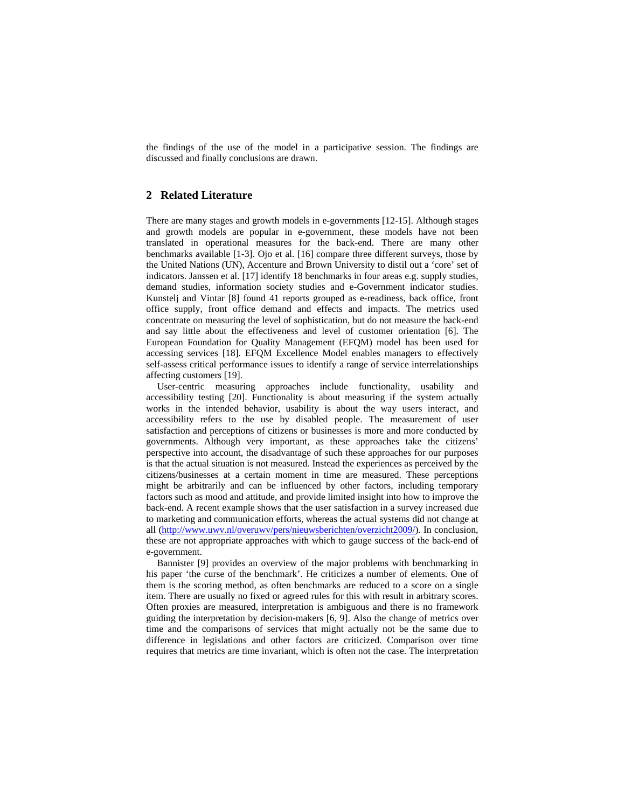the findings of the use of the model in a participative session. The findings are discussed and finally conclusions are drawn.

## **2 Related Literature**

There are many stages and growth models in e-governments [12-15]. Although stages and growth models are popular in e-government, these models have not been translated in operational measures for the back-end. There are many other benchmarks available [1-3]. Ojo et al. [16] compare three different surveys, those by the United Nations (UN), Accenture and Brown University to distil out a 'core' set of indicators. Janssen et al. [17] identify 18 benchmarks in four areas e.g. supply studies, demand studies, information society studies and e-Government indicator studies. Kunstelj and Vintar [8] found 41 reports grouped as e-readiness, back office, front office supply, front office demand and effects and impacts. The metrics used concentrate on measuring the level of sophistication, but do not measure the back-end and say little about the effectiveness and level of customer orientation [6]. The European Foundation for Quality Management (EFQM) model has been used for accessing services [18]. EFQM Excellence Model enables managers to effectively self-assess critical performance issues to identify a range of service interrelationships affecting customers [19].

User-centric measuring approaches include functionality, usability and accessibility testing [20]. Functionality is about measuring if the system actually works in the intended behavior, usability is about the way users interact, and accessibility refers to the use by disabled people. The measurement of user satisfaction and perceptions of citizens or businesses is more and more conducted by governments. Although very important, as these approaches take the citizens' perspective into account, the disadvantage of such these approaches for our purposes is that the actual situation is not measured. Instead the experiences as perceived by the citizens/businesses at a certain moment in time are measured. These perceptions might be arbitrarily and can be influenced by other factors, including temporary factors such as mood and attitude, and provide limited insight into how to improve the back-end. A recent example shows that the user satisfaction in a survey increased due to marketing and communication efforts, whereas the actual systems did not change at all (http://www.uwv.nl/overuwv/pers/nieuwsberichten/overzicht2009/). In conclusion, these are not appropriate approaches with which to gauge success of the back-end of e-government.

Bannister [9] provides an overview of the major problems with benchmarking in his paper 'the curse of the benchmark'. He criticizes a number of elements. One of them is the scoring method, as often benchmarks are reduced to a score on a single item. There are usually no fixed or agreed rules for this with result in arbitrary scores. Often proxies are measured, interpretation is ambiguous and there is no framework guiding the interpretation by decision-makers [6, 9]. Also the change of metrics over time and the comparisons of services that might actually not be the same due to difference in legislations and other factors are criticized. Comparison over time requires that metrics are time invariant, which is often not the case. The interpretation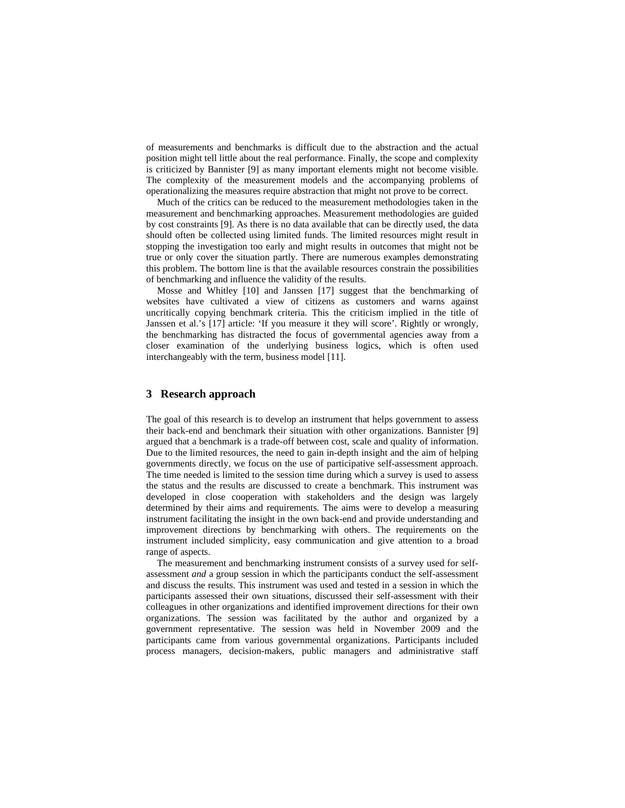of measurements and benchmarks is difficult due to the abstraction and the actual position might tell little about the real performance. Finally, the scope and complexity is criticized by Bannister [9] as many important elements might not become visible. The complexity of the measurement models and the accompanying problems of operationalizing the measures require abstraction that might not prove to be correct.

Much of the critics can be reduced to the measurement methodologies taken in the measurement and benchmarking approaches. Measurement methodologies are guided by cost constraints [9]. As there is no data available that can be directly used, the data should often be collected using limited funds. The limited resources might result in stopping the investigation too early and might results in outcomes that might not be true or only cover the situation partly. There are numerous examples demonstrating this problem. The bottom line is that the available resources constrain the possibilities of benchmarking and influence the validity of the results.

Mosse and Whitley [10] and Janssen [17] suggest that the benchmarking of websites have cultivated a view of citizens as customers and warns against uncritically copying benchmark criteria. This the criticism implied in the title of Janssen et al.'s [17] article: 'If you measure it they will score'. Rightly or wrongly, the benchmarking has distracted the focus of governmental agencies away from a closer examination of the underlying business logics, which is often used interchangeably with the term, business model [11].

#### **3 Research approach**

The goal of this research is to develop an instrument that helps government to assess their back-end and benchmark their situation with other organizations. Bannister [9] argued that a benchmark is a trade-off between cost, scale and quality of information. Due to the limited resources, the need to gain in-depth insight and the aim of helping governments directly, we focus on the use of participative self-assessment approach. The time needed is limited to the session time during which a survey is used to assess the status and the results are discussed to create a benchmark. This instrument was developed in close cooperation with stakeholders and the design was largely determined by their aims and requirements. The aims were to develop a measuring instrument facilitating the insight in the own back-end and provide understanding and improvement directions by benchmarking with others. The requirements on the instrument included simplicity, easy communication and give attention to a broad range of aspects.

The measurement and benchmarking instrument consists of a survey used for selfassessment *and* a group session in which the participants conduct the self-assessment and discuss the results. This instrument was used and tested in a session in which the participants assessed their own situations, discussed their self-assessment with their colleagues in other organizations and identified improvement directions for their own organizations. The session was facilitated by the author and organized by a government representative. The session was held in November 2009 and the participants came from various governmental organizations. Participants included process managers, decision-makers, public managers and administrative staff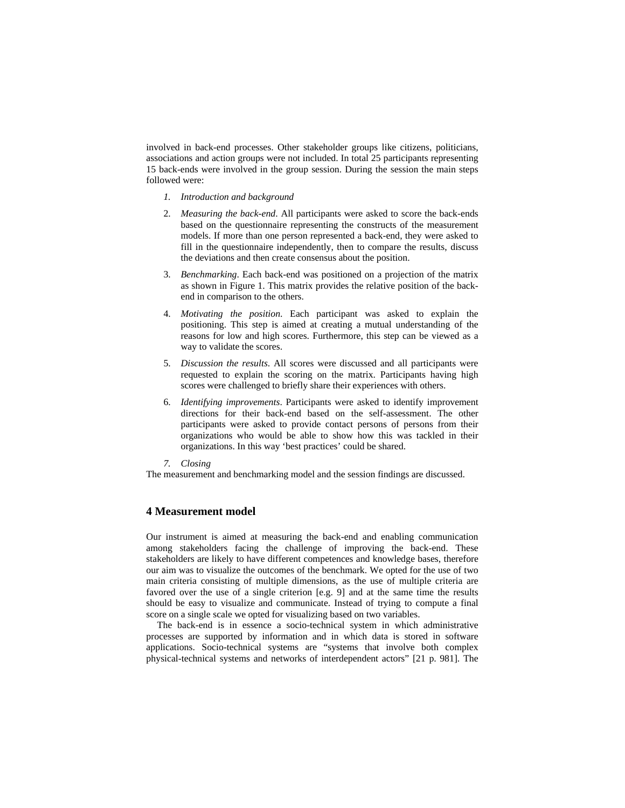involved in back-end processes. Other stakeholder groups like citizens, politicians, associations and action groups were not included. In total 25 participants representing 15 back-ends were involved in the group session. During the session the main steps followed were:

- *1. Introduction and background*
- 2. *Measuring the back-end*. All participants were asked to score the back-ends based on the questionnaire representing the constructs of the measurement models. If more than one person represented a back-end, they were asked to fill in the questionnaire independently, then to compare the results, discuss the deviations and then create consensus about the position.
- 3. *Benchmarking*. Each back-end was positioned on a projection of the matrix as shown in Figure 1. This matrix provides the relative position of the backend in comparison to the others.
- 4. *Motivating the position*. Each participant was asked to explain the positioning. This step is aimed at creating a mutual understanding of the reasons for low and high scores. Furthermore, this step can be viewed as a way to validate the scores.
- 5. *Discussion the results*. All scores were discussed and all participants were requested to explain the scoring on the matrix. Participants having high scores were challenged to briefly share their experiences with others.
- 6. *Identifying improvements*. Participants were asked to identify improvement directions for their back-end based on the self-assessment. The other participants were asked to provide contact persons of persons from their organizations who would be able to show how this was tackled in their organizations. In this way 'best practices' could be shared.
- *7. Closing*

The measurement and benchmarking model and the session findings are discussed.

### **4 Measurement model**

Our instrument is aimed at measuring the back-end and enabling communication among stakeholders facing the challenge of improving the back-end. These stakeholders are likely to have different competences and knowledge bases, therefore our aim was to visualize the outcomes of the benchmark. We opted for the use of two main criteria consisting of multiple dimensions, as the use of multiple criteria are favored over the use of a single criterion [e.g. 9] and at the same time the results should be easy to visualize and communicate. Instead of trying to compute a final score on a single scale we opted for visualizing based on two variables.

The back-end is in essence a socio-technical system in which administrative processes are supported by information and in which data is stored in software applications. Socio-technical systems are "systems that involve both complex physical-technical systems and networks of interdependent actors" [21 p. 981]. The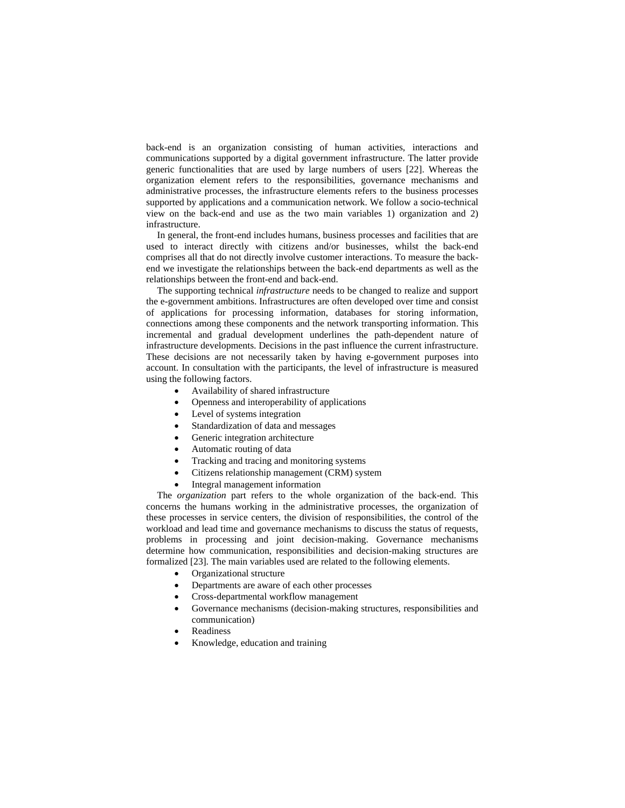back-end is an organization consisting of human activities, interactions and communications supported by a digital government infrastructure. The latter provide generic functionalities that are used by large numbers of users [22]. Whereas the organization element refers to the responsibilities, governance mechanisms and administrative processes, the infrastructure elements refers to the business processes supported by applications and a communication network. We follow a socio-technical view on the back-end and use as the two main variables 1) organization and 2) infrastructure.

In general, the front-end includes humans, business processes and facilities that are used to interact directly with citizens and/or businesses, whilst the back-end comprises all that do not directly involve customer interactions. To measure the backend we investigate the relationships between the back-end departments as well as the relationships between the front-end and back-end.

The supporting technical *infrastructure* needs to be changed to realize and support the e-government ambitions. Infrastructures are often developed over time and consist of applications for processing information, databases for storing information, connections among these components and the network transporting information. This incremental and gradual development underlines the path-dependent nature of infrastructure developments. Decisions in the past influence the current infrastructure. These decisions are not necessarily taken by having e-government purposes into account. In consultation with the participants, the level of infrastructure is measured using the following factors.

- Availability of shared infrastructure
- Openness and interoperability of applications
- Level of systems integration
- Standardization of data and messages
- Generic integration architecture
- Automatic routing of data
- Tracking and tracing and monitoring systems
- Citizens relationship management (CRM) system
- Integral management information

The *organization* part refers to the whole organization of the back-end. This concerns the humans working in the administrative processes, the organization of these processes in service centers, the division of responsibilities, the control of the workload and lead time and governance mechanisms to discuss the status of requests, problems in processing and joint decision-making. Governance mechanisms determine how communication, responsibilities and decision-making structures are formalized [23]. The main variables used are related to the following elements.

- Organizational structure
- Departments are aware of each other processes
- Cross-departmental workflow management
- Governance mechanisms (decision-making structures, responsibilities and communication)
- **Readiness**
- Knowledge, education and training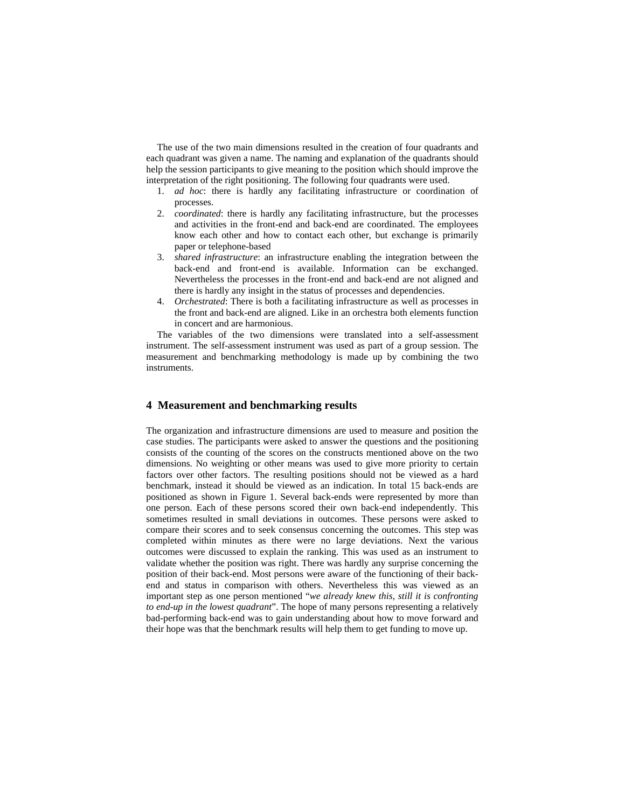The use of the two main dimensions resulted in the creation of four quadrants and each quadrant was given a name. The naming and explanation of the quadrants should help the session participants to give meaning to the position which should improve the interpretation of the right positioning. The following four quadrants were used.

- 1. *ad hoc*: there is hardly any facilitating infrastructure or coordination of processes.
- 2. *coordinated*: there is hardly any facilitating infrastructure, but the processes and activities in the front-end and back-end are coordinated. The employees know each other and how to contact each other, but exchange is primarily paper or telephone-based
- 3. *shared infrastructure*: an infrastructure enabling the integration between the back-end and front-end is available. Information can be exchanged. Nevertheless the processes in the front-end and back-end are not aligned and there is hardly any insight in the status of processes and dependencies.
- 4. *Orchestrated*: There is both a facilitating infrastructure as well as processes in the front and back-end are aligned. Like in an orchestra both elements function in concert and are harmonious.

The variables of the two dimensions were translated into a self-assessment instrument. The self-assessment instrument was used as part of a group session. The measurement and benchmarking methodology is made up by combining the two instruments.

#### **4 Measurement and benchmarking results**

The organization and infrastructure dimensions are used to measure and position the case studies. The participants were asked to answer the questions and the positioning consists of the counting of the scores on the constructs mentioned above on the two dimensions. No weighting or other means was used to give more priority to certain factors over other factors. The resulting positions should not be viewed as a hard benchmark, instead it should be viewed as an indication. In total 15 back-ends are positioned as shown in Figure 1. Several back-ends were represented by more than one person. Each of these persons scored their own back-end independently. This sometimes resulted in small deviations in outcomes. These persons were asked to compare their scores and to seek consensus concerning the outcomes. This step was completed within minutes as there were no large deviations. Next the various outcomes were discussed to explain the ranking. This was used as an instrument to validate whether the position was right. There was hardly any surprise concerning the position of their back-end. Most persons were aware of the functioning of their backend and status in comparison with others. Nevertheless this was viewed as an important step as one person mentioned "*we already knew this, still it is confronting to end-up in the lowest quadrant*". The hope of many persons representing a relatively bad-performing back-end was to gain understanding about how to move forward and their hope was that the benchmark results will help them to get funding to move up.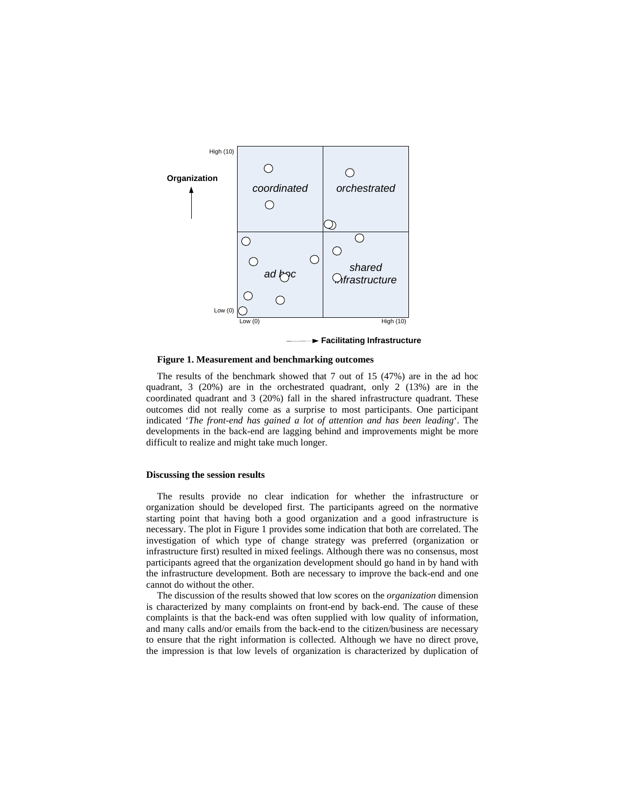

**Figure 1. Measurement and benchmarking outcomes** 

The results of the benchmark showed that 7 out of 15 (47%) are in the ad hoc quadrant, 3 (20%) are in the orchestrated quadrant, only 2 (13%) are in the coordinated quadrant and 3 (20%) fall in the shared infrastructure quadrant. These outcomes did not really come as a surprise to most participants. One participant indicated '*The front-end has gained a lot of attention and has been leading*'. The developments in the back-end are lagging behind and improvements might be more difficult to realize and might take much longer.

#### **Discussing the session results**

The results provide no clear indication for whether the infrastructure or organization should be developed first. The participants agreed on the normative starting point that having both a good organization and a good infrastructure is necessary. The plot in Figure 1 provides some indication that both are correlated. The investigation of which type of change strategy was preferred (organization or infrastructure first) resulted in mixed feelings. Although there was no consensus, most participants agreed that the organization development should go hand in by hand with the infrastructure development. Both are necessary to improve the back-end and one cannot do without the other.

The discussion of the results showed that low scores on the *organization* dimension is characterized by many complaints on front-end by back-end. The cause of these complaints is that the back-end was often supplied with low quality of information, and many calls and/or emails from the back-end to the citizen/business are necessary to ensure that the right information is collected. Although we have no direct prove, the impression is that low levels of organization is characterized by duplication of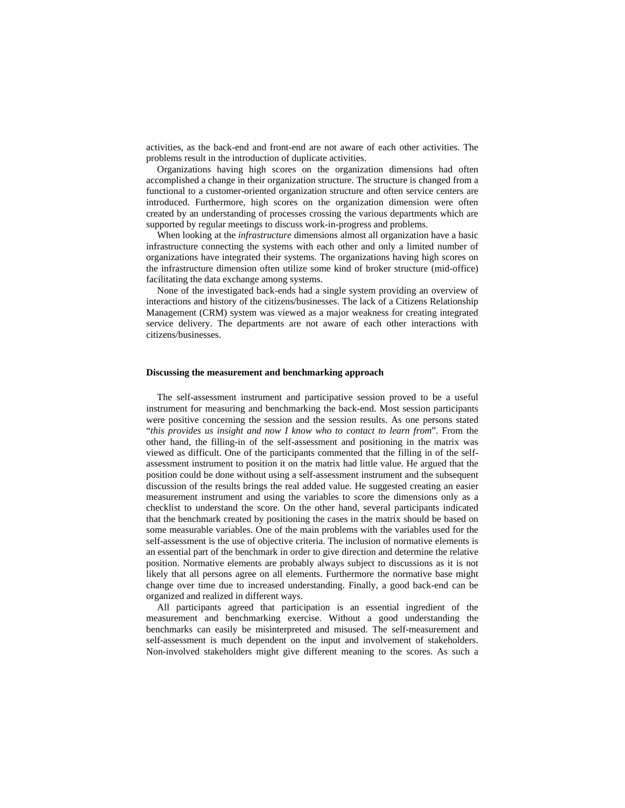activities, as the back-end and front-end are not aware of each other activities. The problems result in the introduction of duplicate activities.

Organizations having high scores on the organization dimensions had often accomplished a change in their organization structure. The structure is changed from a functional to a customer-oriented organization structure and often service centers are introduced. Furthermore, high scores on the organization dimension were often created by an understanding of processes crossing the various departments which are supported by regular meetings to discuss work-in-progress and problems.

When looking at the *infrastructure* dimensions almost all organization have a basic infrastructure connecting the systems with each other and only a limited number of organizations have integrated their systems. The organizations having high scores on the infrastructure dimension often utilize some kind of broker structure (mid-office) facilitating the data exchange among systems.

None of the investigated back-ends had a single system providing an overview of interactions and history of the citizens/businesses. The lack of a Citizens Relationship Management (CRM) system was viewed as a major weakness for creating integrated service delivery. The departments are not aware of each other interactions with citizens/businesses.

#### **Discussing the measurement and benchmarking approach**

The self-assessment instrument and participative session proved to be a useful instrument for measuring and benchmarking the back-end. Most session participants were positive concerning the session and the session results. As one persons stated "*this provides us insight and now I know who to contact to learn from*". From the other hand, the filling-in of the self-assessment and positioning in the matrix was viewed as difficult. One of the participants commented that the filling in of the selfassessment instrument to position it on the matrix had little value. He argued that the position could be done without using a self-assessment instrument and the subsequent discussion of the results brings the real added value. He suggested creating an easier measurement instrument and using the variables to score the dimensions only as a checklist to understand the score. On the other hand, several participants indicated that the benchmark created by positioning the cases in the matrix should be based on some measurable variables. One of the main problems with the variables used for the self-assessment is the use of objective criteria. The inclusion of normative elements is an essential part of the benchmark in order to give direction and determine the relative position. Normative elements are probably always subject to discussions as it is not likely that all persons agree on all elements. Furthermore the normative base might change over time due to increased understanding. Finally, a good back-end can be organized and realized in different ways.

All participants agreed that participation is an essential ingredient of the measurement and benchmarking exercise. Without a good understanding the benchmarks can easily be misinterpreted and misused. The self-measurement and self-assessment is much dependent on the input and involvement of stakeholders. Non-involved stakeholders might give different meaning to the scores. As such a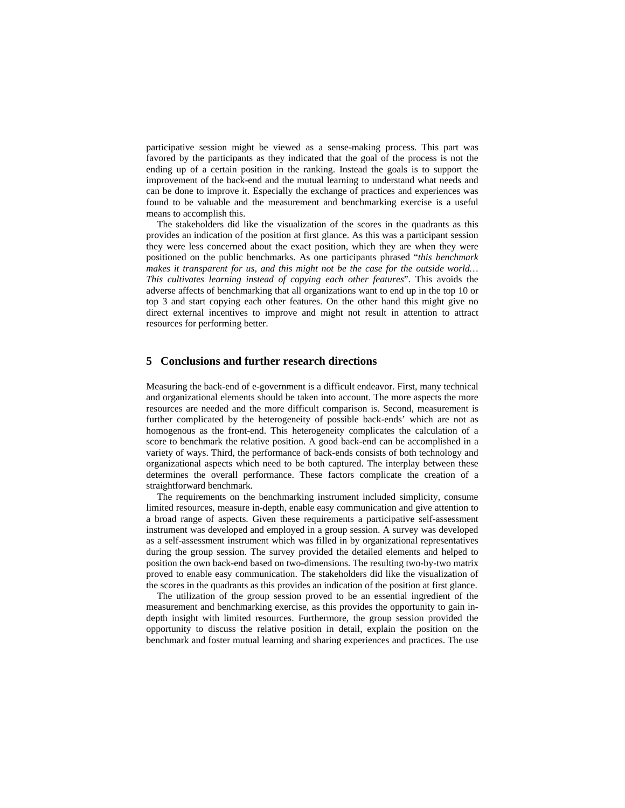participative session might be viewed as a sense-making process. This part was favored by the participants as they indicated that the goal of the process is not the ending up of a certain position in the ranking. Instead the goals is to support the improvement of the back-end and the mutual learning to understand what needs and can be done to improve it. Especially the exchange of practices and experiences was found to be valuable and the measurement and benchmarking exercise is a useful means to accomplish this.

The stakeholders did like the visualization of the scores in the quadrants as this provides an indication of the position at first glance. As this was a participant session they were less concerned about the exact position, which they are when they were positioned on the public benchmarks. As one participants phrased "*this benchmark makes it transparent for us, and this might not be the case for the outside world… This cultivates learning instead of copying each other features*". This avoids the adverse affects of benchmarking that all organizations want to end up in the top 10 or top 3 and start copying each other features. On the other hand this might give no direct external incentives to improve and might not result in attention to attract resources for performing better.

#### **5 Conclusions and further research directions**

Measuring the back-end of e-government is a difficult endeavor. First, many technical and organizational elements should be taken into account. The more aspects the more resources are needed and the more difficult comparison is. Second, measurement is further complicated by the heterogeneity of possible back-ends' which are not as homogenous as the front-end. This heterogeneity complicates the calculation of a score to benchmark the relative position. A good back-end can be accomplished in a variety of ways. Third, the performance of back-ends consists of both technology and organizational aspects which need to be both captured. The interplay between these determines the overall performance. These factors complicate the creation of a straightforward benchmark.

The requirements on the benchmarking instrument included simplicity, consume limited resources, measure in-depth, enable easy communication and give attention to a broad range of aspects. Given these requirements a participative self-assessment instrument was developed and employed in a group session. A survey was developed as a self-assessment instrument which was filled in by organizational representatives during the group session. The survey provided the detailed elements and helped to position the own back-end based on two-dimensions. The resulting two-by-two matrix proved to enable easy communication. The stakeholders did like the visualization of the scores in the quadrants as this provides an indication of the position at first glance.

The utilization of the group session proved to be an essential ingredient of the measurement and benchmarking exercise, as this provides the opportunity to gain indepth insight with limited resources. Furthermore, the group session provided the opportunity to discuss the relative position in detail, explain the position on the benchmark and foster mutual learning and sharing experiences and practices. The use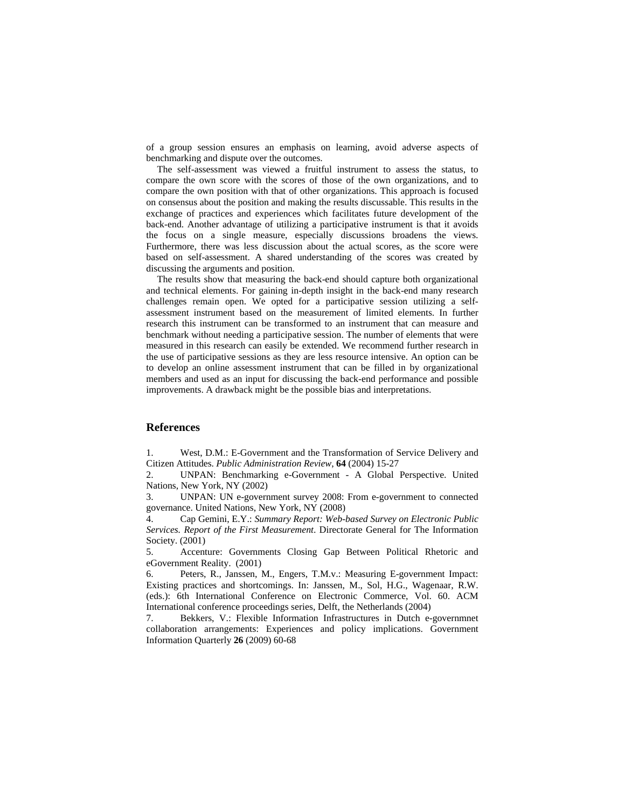of a group session ensures an emphasis on learning, avoid adverse aspects of benchmarking and dispute over the outcomes.

The self-assessment was viewed a fruitful instrument to assess the status, to compare the own score with the scores of those of the own organizations, and to compare the own position with that of other organizations. This approach is focused on consensus about the position and making the results discussable. This results in the exchange of practices and experiences which facilitates future development of the back-end. Another advantage of utilizing a participative instrument is that it avoids the focus on a single measure, especially discussions broadens the views. Furthermore, there was less discussion about the actual scores, as the score were based on self-assessment. A shared understanding of the scores was created by discussing the arguments and position.

The results show that measuring the back-end should capture both organizational and technical elements. For gaining in-depth insight in the back-end many research challenges remain open. We opted for a participative session utilizing a selfassessment instrument based on the measurement of limited elements. In further research this instrument can be transformed to an instrument that can measure and benchmark without needing a participative session. The number of elements that were measured in this research can easily be extended. We recommend further research in the use of participative sessions as they are less resource intensive. An option can be to develop an online assessment instrument that can be filled in by organizational members and used as an input for discussing the back-end performance and possible improvements. A drawback might be the possible bias and interpretations.

#### **References**

1. West, D.M.: E-Government and the Transformation of Service Delivery and Citizen Attitudes. *Public Administration Review*, **64** (2004) 15-27

2. UNPAN: Benchmarking e-Government - A Global Perspective. United Nations, New York, NY (2002)

3. UNPAN: UN e-government survey 2008: From e-government to connected governance. United Nations, New York, NY (2008)

4. Cap Gemini, E.Y.: *Summary Report: Web-based Survey on Electronic Public Services. Report of the First Measurement*. Directorate General for The Information Society. (2001)

5. Accenture: Governments Closing Gap Between Political Rhetoric and eGovernment Reality. (2001)

6. Peters, R., Janssen, M., Engers, T.M.v.: Measuring E-government Impact: Existing practices and shortcomings. In: Janssen, M., Sol, H.G., Wagenaar, R.W. (eds.): 6th International Conference on Electronic Commerce, Vol. 60. ACM International conference proceedings series, Delft, the Netherlands (2004)

7. Bekkers, V.: Flexible Information Infrastructures in Dutch e-governmnet collaboration arrangements: Experiences and policy implications. Government Information Quarterly **26** (2009) 60-68